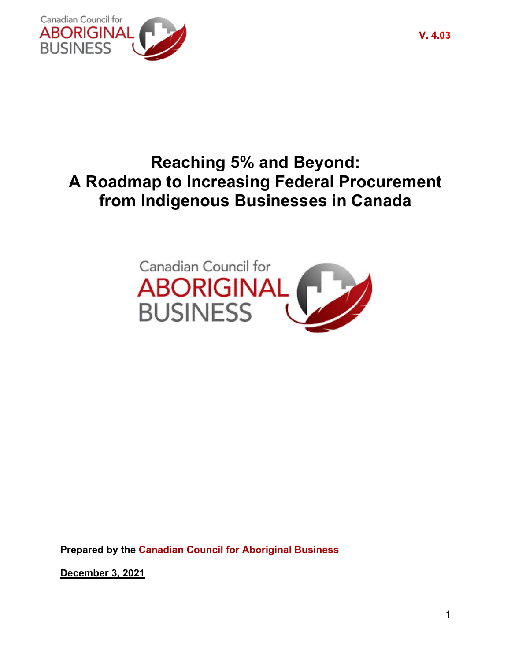

# **Reaching 5% and Beyond: A Roadmap to Increasing Federal Procurement from Indigenous Businesses in Canada**



**Prepared by the Canadian Council for Aboriginal Business**

**December 3, 2021**

**V. 4.03**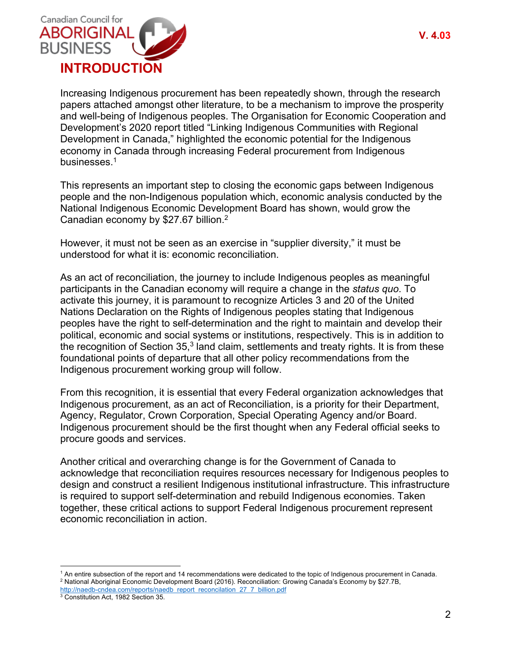

Increasing Indigenous procurement has been repeatedly shown, through the research papers attached amongst other literature, to be a mechanism to improve the prosperity and well-being of Indigenous peoples. The Organisation for Economic Cooperation and Development's 2020 report titled "Linking Indigenous Communities with Regional Development in Canada," highlighted the economic potential for the Indigenous economy in Canada through increasing Federal procurement from Indigenous businesses. 1

This represents an important step to closing the economic gaps between Indigenous people and the non-Indigenous population which, economic analysis conducted by the National Indigenous Economic Development Board has shown, would grow the Canadian economy by \$27.67 billion.2

However, it must not be seen as an exercise in "supplier diversity," it must be understood for what it is: economic reconciliation.

As an act of reconciliation, the journey to include Indigenous peoples as meaningful participants in the Canadian economy will require a change in the *status quo*. To activate this journey, it is paramount to recognize Articles 3 and 20 of the United Nations Declaration on the Rights of Indigenous peoples stating that Indigenous peoples have the right to self-determination and the right to maintain and develop their political, economic and social systems or institutions, respectively. This is in addition to the recognition of Section 35,<sup>3</sup> land claim, settlements and treaty rights. It is from these foundational points of departure that all other policy recommendations from the Indigenous procurement working group will follow.

From this recognition, it is essential that every Federal organization acknowledges that Indigenous procurement, as an act of Reconciliation, is a priority for their Department, Agency, Regulator, Crown Corporation, Special Operating Agency and/or Board. Indigenous procurement should be the first thought when any Federal official seeks to procure goods and services.

Another critical and overarching change is for the Government of Canada to acknowledge that reconciliation requires resources necessary for Indigenous peoples to design and construct a resilient Indigenous institutional infrastructure. This infrastructure is required to support self-determination and rebuild Indigenous economies. Taken together, these critical actions to support Federal Indigenous procurement represent economic reconciliation in action.

<sup>&</sup>lt;sup>1</sup> An entire subsection of the report and 14 recommendations were dedicated to the topic of Indigenous procurement in Canada. <sup>2</sup> National Aboriginal Economic Development Board (2016). Reconciliation: Growing Canada's Economy by \$27.7B,

http://naedb-cndea.com/reports/naedb\_report\_reconcilation\_27\_7\_billion.pdf

<sup>&</sup>lt;sup>3</sup> Constitution Act, 1982 Section 35.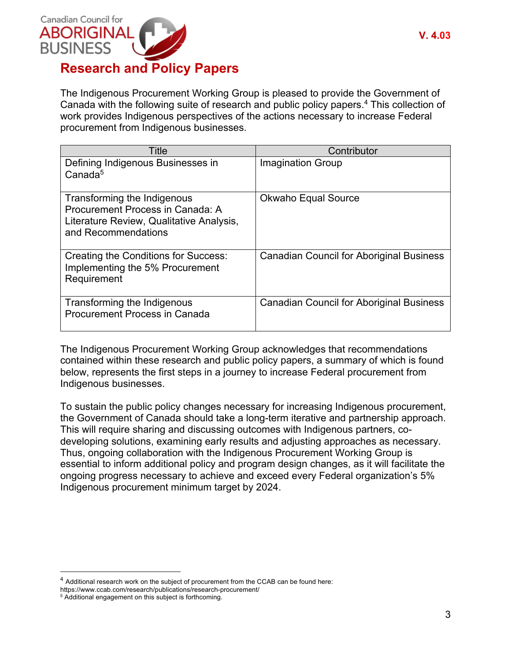

The Indigenous Procurement Working Group is pleased to provide the Government of Canada with the following suite of research and public policy papers. <sup>4</sup> This collection of work provides Indigenous perspectives of the actions necessary to increase Federal procurement from Indigenous businesses.

| <b>Title</b>                                                                                                                       | Contributor                                     |
|------------------------------------------------------------------------------------------------------------------------------------|-------------------------------------------------|
| Defining Indigenous Businesses in<br>Canada <sup>5</sup>                                                                           | <b>Imagination Group</b>                        |
| Transforming the Indigenous<br>Procurement Process in Canada: A<br>Literature Review, Qualitative Analysis,<br>and Recommendations | <b>Okwaho Equal Source</b>                      |
| Creating the Conditions for Success:<br>Implementing the 5% Procurement<br>Requirement                                             | <b>Canadian Council for Aboriginal Business</b> |
| Transforming the Indigenous<br><b>Procurement Process in Canada</b>                                                                | <b>Canadian Council for Aboriginal Business</b> |

The Indigenous Procurement Working Group acknowledges that recommendations contained within these research and public policy papers, a summary of which is found below, represents the first steps in a journey to increase Federal procurement from Indigenous businesses.

To sustain the public policy changes necessary for increasing Indigenous procurement, the Government of Canada should take a long-term iterative and partnership approach. This will require sharing and discussing outcomes with Indigenous partners, codeveloping solutions, examining early results and adjusting approaches as necessary. Thus, ongoing collaboration with the Indigenous Procurement Working Group is essential to inform additional policy and program design changes, as it will facilitate the ongoing progress necessary to achieve and exceed every Federal organization's 5% Indigenous procurement minimum target by 2024.

<sup>&</sup>lt;sup>4</sup> Additional research work on the subject of procurement from the CCAB can be found here:

https://www.ccab.com/research/publications/research-procurement/

<sup>5</sup> Additional engagement on this subject is forthcoming.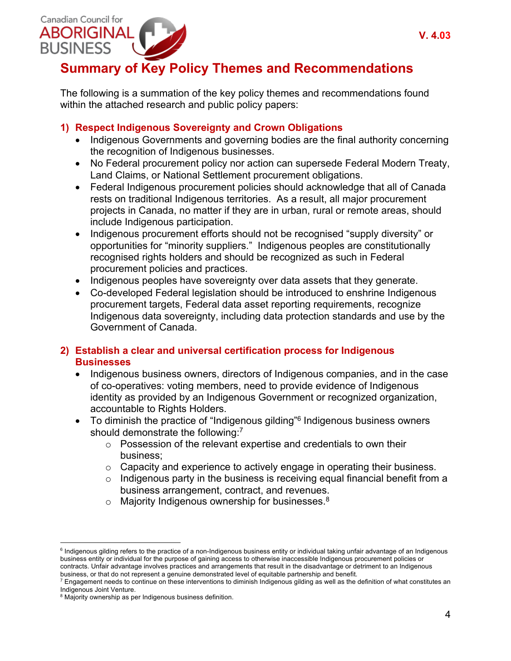

## **Summary of Key Policy Themes and Recommendations**

The following is a summation of the key policy themes and recommendations found within the attached research and public policy papers:

### **1) Respect Indigenous Sovereignty and Crown Obligations**

- Indigenous Governments and governing bodies are the final authority concerning the recognition of Indigenous businesses.
- No Federal procurement policy nor action can supersede Federal Modern Treaty, Land Claims, or National Settlement procurement obligations.
- Federal Indigenous procurement policies should acknowledge that all of Canada rests on traditional Indigenous territories. As a result, all major procurement projects in Canada, no matter if they are in urban, rural or remote areas, should include Indigenous participation.
- Indigenous procurement efforts should not be recognised "supply diversity" or opportunities for "minority suppliers." Indigenous peoples are constitutionally recognised rights holders and should be recognized as such in Federal procurement policies and practices.
- Indigenous peoples have sovereignty over data assets that they generate.
- Co-developed Federal legislation should be introduced to enshrine Indigenous procurement targets, Federal data asset reporting requirements, recognize Indigenous data sovereignty, including data protection standards and use by the Government of Canada.

#### **2) Establish a clear and universal certification process for Indigenous Businesses**

- Indigenous business owners, directors of Indigenous companies, and in the case of co-operatives: voting members, need to provide evidence of Indigenous identity as provided by an Indigenous Government or recognized organization, accountable to Rights Holders.
- To diminish the practice of "Indigenous gilding"6 Indigenous business owners should demonstrate the following:<sup>7</sup>
	- o Possession of the relevant expertise and credentials to own their business;
	- $\circ$  Capacity and experience to actively engage in operating their business.
	- $\circ$  Indigenous party in the business is receiving equal financial benefit from a business arrangement, contract, and revenues.
	- $\circ$  Majority Indigenous ownership for businesses.<sup>8</sup>

<sup>&</sup>lt;sup>6</sup> Indigenous gilding refers to the practice of a non-Indigenous business entity or individual taking unfair advantage of an Indigenous business entity or individual for the purpose of gaining access to otherwise inaccessible Indigenous procurement policies or contracts. Unfair advantage involves practices and arrangements that result in the disadvantage or detriment to an Indigenous business, or that do not represent a genuine demonstrated level of equitable partnership and benefit.

 $^7$  Engagement needs to continue on these interventions to diminish Indigenous gilding as well as the definition of what constitutes an Indigenous Joint Venture.

<sup>&</sup>lt;sup>8</sup> Majority ownership as per Indigenous business definition.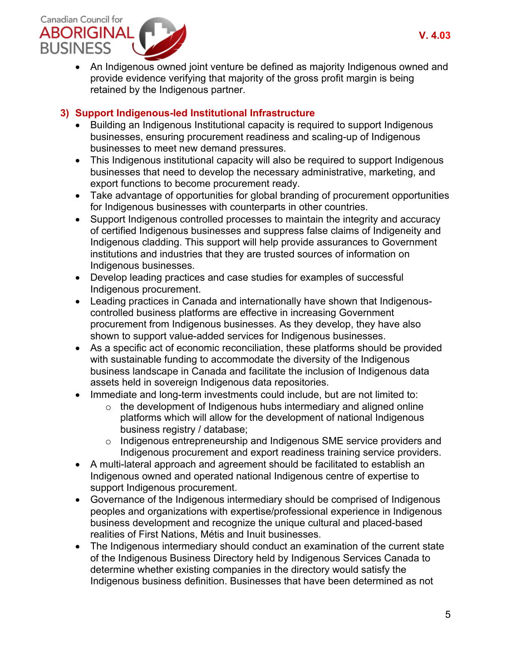

• An Indigenous owned joint venture be defined as majority Indigenous owned and provide evidence verifying that majority of the gross profit margin is being retained by the Indigenous partner.

#### **3) Support Indigenous-led Institutional Infrastructure**

- Building an Indigenous Institutional capacity is required to support Indigenous businesses, ensuring procurement readiness and scaling-up of Indigenous businesses to meet new demand pressures.
- This Indigenous institutional capacity will also be required to support Indigenous businesses that need to develop the necessary administrative, marketing, and export functions to become procurement ready.
- Take advantage of opportunities for global branding of procurement opportunities for Indigenous businesses with counterparts in other countries.
- Support Indigenous controlled processes to maintain the integrity and accuracy of certified Indigenous businesses and suppress false claims of Indigeneity and Indigenous cladding. This support will help provide assurances to Government institutions and industries that they are trusted sources of information on Indigenous businesses.
- Develop leading practices and case studies for examples of successful Indigenous procurement.
- Leading practices in Canada and internationally have shown that Indigenouscontrolled business platforms are effective in increasing Government procurement from Indigenous businesses. As they develop, they have also shown to support value-added services for Indigenous businesses.
- As a specific act of economic reconciliation, these platforms should be provided with sustainable funding to accommodate the diversity of the Indigenous business landscape in Canada and facilitate the inclusion of Indigenous data assets held in sovereign Indigenous data repositories.
- Immediate and long-term investments could include, but are not limited to:
	- $\circ$  the development of Indigenous hubs intermediary and aligned online platforms which will allow for the development of national Indigenous business registry / database;
	- o Indigenous entrepreneurship and Indigenous SME service providers and Indigenous procurement and export readiness training service providers.
- A multi-lateral approach and agreement should be facilitated to establish an Indigenous owned and operated national Indigenous centre of expertise to support Indigenous procurement.
- Governance of the Indigenous intermediary should be comprised of Indigenous peoples and organizations with expertise/professional experience in Indigenous business development and recognize the unique cultural and placed-based realities of First Nations, Métis and Inuit businesses.
- The Indigenous intermediary should conduct an examination of the current state of the Indigenous Business Directory held by Indigenous Services Canada to determine whether existing companies in the directory would satisfy the Indigenous business definition. Businesses that have been determined as not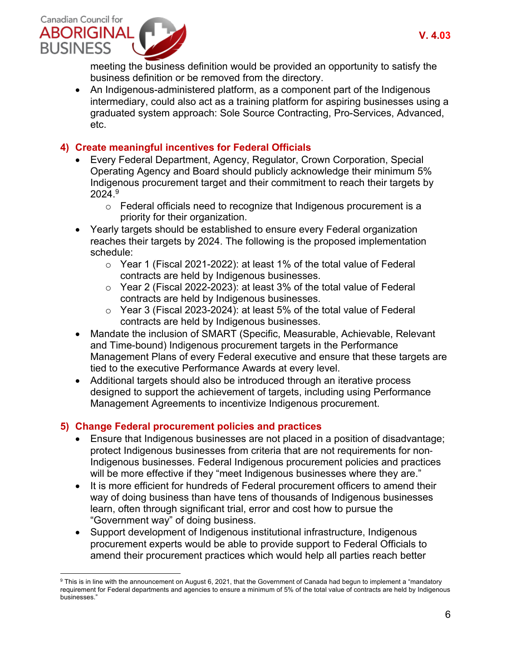

meeting the business definition would be provided an opportunity to satisfy the business definition or be removed from the directory.

• An Indigenous-administered platform, as a component part of the Indigenous intermediary, could also act as a training platform for aspiring businesses using a graduated system approach: Sole Source Contracting, Pro-Services, Advanced, etc.

#### **4) Create meaningful incentives for Federal Officials**

- Every Federal Department, Agency, Regulator, Crown Corporation, Special Operating Agency and Board should publicly acknowledge their minimum 5% Indigenous procurement target and their commitment to reach their targets by  $2024.<sup>9</sup>$ 
	- o Federal officials need to recognize that Indigenous procurement is a priority for their organization.
- Yearly targets should be established to ensure every Federal organization reaches their targets by 2024. The following is the proposed implementation schedule:
	- o Year 1 (Fiscal 2021-2022): at least 1% of the total value of Federal contracts are held by Indigenous businesses.
	- o Year 2 (Fiscal 2022-2023): at least 3% of the total value of Federal contracts are held by Indigenous businesses.
	- o Year 3 (Fiscal 2023-2024): at least 5% of the total value of Federal contracts are held by Indigenous businesses.
- Mandate the inclusion of SMART (Specific, Measurable, Achievable, Relevant and Time-bound) Indigenous procurement targets in the Performance Management Plans of every Federal executive and ensure that these targets are tied to the executive Performance Awards at every level.
- Additional targets should also be introduced through an iterative process designed to support the achievement of targets, including using Performance Management Agreements to incentivize Indigenous procurement.

#### **5) Change Federal procurement policies and practices**

- Ensure that Indigenous businesses are not placed in a position of disadvantage; protect Indigenous businesses from criteria that are not requirements for non-Indigenous businesses. Federal Indigenous procurement policies and practices will be more effective if they "meet Indigenous businesses where they are."
- It is more efficient for hundreds of Federal procurement officers to amend their way of doing business than have tens of thousands of Indigenous businesses learn, often through significant trial, error and cost how to pursue the "Government way" of doing business.
- Support development of Indigenous institutional infrastructure, Indigenous procurement experts would be able to provide support to Federal Officials to amend their procurement practices which would help all parties reach better

<sup>9</sup> This is in line with the announcement on August 6, 2021, that the Government of Canada had begun to implement a "mandatory requirement for Federal departments and agencies to ensure a minimum of 5% of the total value of contracts are held by Indigenous businesses."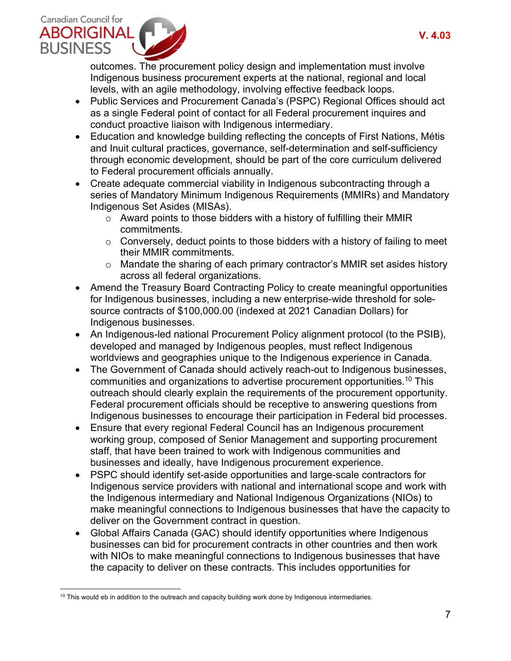

outcomes. The procurement policy design and implementation must involve Indigenous business procurement experts at the national, regional and local levels, with an agile methodology, involving effective feedback loops.

- Public Services and Procurement Canada's (PSPC) Regional Offices should act as a single Federal point of contact for all Federal procurement inquires and conduct proactive liaison with Indigenous intermediary.
- Education and knowledge building reflecting the concepts of First Nations, Métis and Inuit cultural practices, governance, self-determination and self-sufficiency through economic development, should be part of the core curriculum delivered to Federal procurement officials annually.
- Create adequate commercial viability in Indigenous subcontracting through a series of Mandatory Minimum Indigenous Requirements (MMIRs) and Mandatory Indigenous Set Asides (MISAs).
	- $\circ$  Award points to those bidders with a history of fulfilling their MMIR commitments.
	- $\circ$  Conversely, deduct points to those bidders with a history of failing to meet their MMIR commitments.
	- o Mandate the sharing of each primary contractor's MMIR set asides history across all federal organizations.
- Amend the Treasury Board Contracting Policy to create meaningful opportunities for Indigenous businesses, including a new enterprise-wide threshold for solesource contracts of \$100,000.00 (indexed at 2021 Canadian Dollars) for Indigenous businesses.
- An Indigenous-led national Procurement Policy alignment protocol (to the PSIB), developed and managed by Indigenous peoples, must reflect Indigenous worldviews and geographies unique to the Indigenous experience in Canada.
- The Government of Canada should actively reach-out to Indigenous businesses, communities and organizations to advertise procurement opportunities.10 This outreach should clearly explain the requirements of the procurement opportunity. Federal procurement officials should be receptive to answering questions from Indigenous businesses to encourage their participation in Federal bid processes.
- Ensure that every regional Federal Council has an Indigenous procurement working group, composed of Senior Management and supporting procurement staff, that have been trained to work with Indigenous communities and businesses and ideally, have Indigenous procurement experience.
- PSPC should identify set-aside opportunities and large-scale contractors for Indigenous service providers with national and international scope and work with the Indigenous intermediary and National Indigenous Organizations (NIOs) to make meaningful connections to Indigenous businesses that have the capacity to deliver on the Government contract in question.
- Global Affairs Canada (GAC) should identify opportunities where Indigenous businesses can bid for procurement contracts in other countries and then work with NIOs to make meaningful connections to Indigenous businesses that have the capacity to deliver on these contracts. This includes opportunities for

 $10$  This would eb in addition to the outreach and capacity building work done by Indigenous intermediaries.